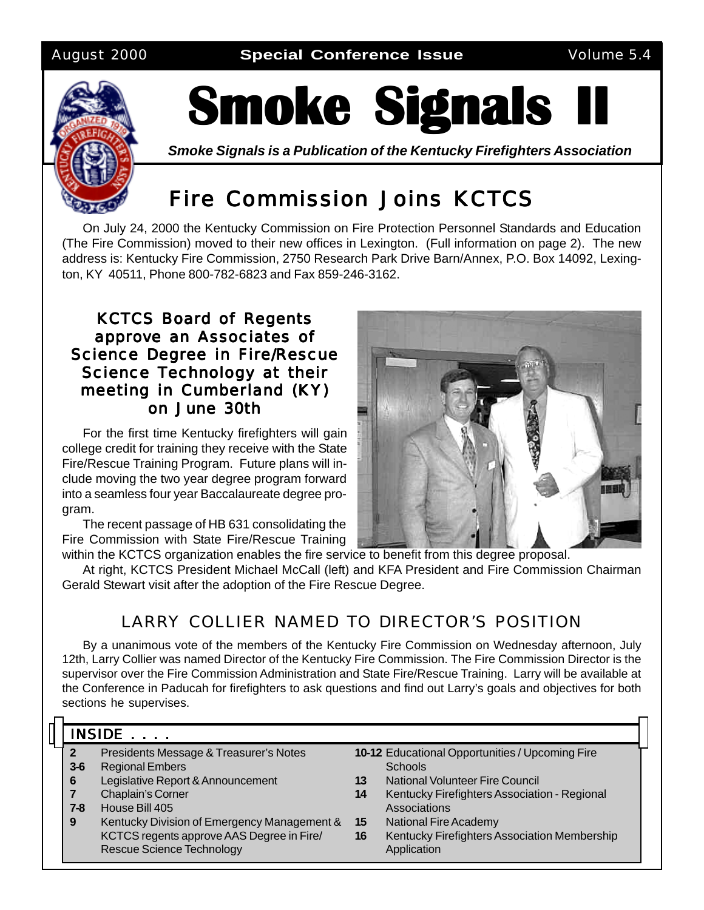August 2000 **Special Conference Issue** Volume 5.4



# **Smoke Signals I**

*Smoke Signals is a Publication of the Kentucky Firefighters Association*

### Fire Commission Joins KCTCS

On July 24, 2000 the Kentucky Commission on Fire Protection Personnel Standards and Education (The Fire Commission) moved to their new offices in Lexington. (Full information on page 2). The new address is: Kentucky Fire Commission, 2750 Research Park Drive Barn/Annex, P.O. Box 14092, Lexington, KY 40511, Phone 800-782-6823 and Fax 859-246-3162.

#### KCTCS Board of Regents approve an Associates of Science Degree in Fire/Rescue Science Technology at their meeting in Cumberland (KY) on June 30th

For the first time Kentucky firefighters will gain college credit for training they receive with the State Fire/Rescue Training Program. Future plans will include moving the two year degree program forward into a seamless four year Baccalaureate degree program.

The recent passage of HB 631 consolidating the Fire Commission with State Fire/Rescue Training



within the KCTCS organization enables the fire service to benefit from this degree proposal. At right, KCTCS President Michael McCall (left) and KFA President and Fire Commission Chairman Gerald Stewart visit after the adoption of the Fire Rescue Degree.

### LARRY COLLIER NAMED TO DIRECTOR'S POSITION

By a unanimous vote of the members of the Kentucky Fire Commission on Wednesday afternoon, July 12th, Larry Collier was named Director of the Kentucky Fire Commission. The Fire Commission Director is the supervisor over the Fire Commission Administration and State Fire/Rescue Training. Larry will be available at the Conference in Paducah for firefighters to ask questions and find out Larry's goals and objectives for both sections he supervises.

#### INSIDE  $\ldots$

- **2** Presidents Message & Treasurer's Notes
- **3-6** Regional Embers
- **6** Legislative Report & Announcement
- **7** Chaplain's Corner
- **7-8** House Bill 405
- **9** Kentucky Division of Emergency Management & KCTCS regents approve AAS Degree in Fire/ Rescue Science Technology
- **10-12** Educational Opportunities / Upcoming Fire **Schools**
- **13** National Volunteer Fire Council
- **14** Kentucky Firefighters Association Regional Associations
	- **15** National Fire Academy
	- **16** Kentucky Firefighters Association Membership Application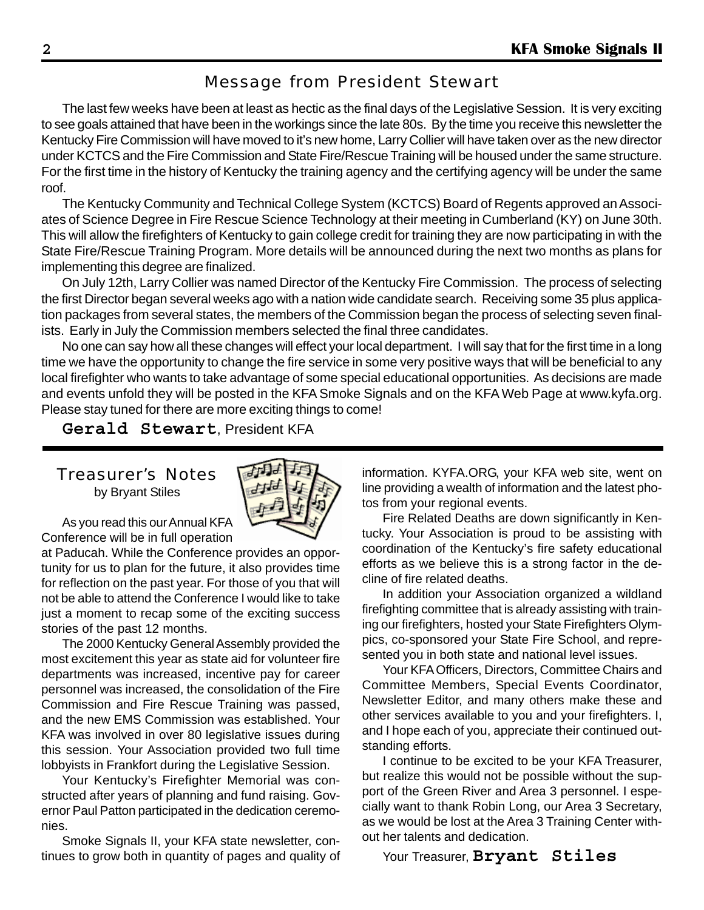### Message from President Stewart

The last few weeks have been at least as hectic as the final days of the Legislative Session. It is very exciting to see goals attained that have been in the workings since the late 80s. By the time you receive this newsletter the Kentucky Fire Commission will have moved to it's new home, Larry Collier will have taken over as the new director under KCTCS and the Fire Commission and State Fire/Rescue Training will be housed under the same structure. For the first time in the history of Kentucky the training agency and the certifying agency will be under the same roof.

The Kentucky Community and Technical College System (KCTCS) Board of Regents approved an Associates of Science Degree in Fire Rescue Science Technology at their meeting in Cumberland (KY) on June 30th. This will allow the firefighters of Kentucky to gain college credit for training they are now participating in with the State Fire/Rescue Training Program. More details will be announced during the next two months as plans for implementing this degree are finalized.

On July 12th, Larry Collier was named Director of the Kentucky Fire Commission. The process of selecting the first Director began several weeks ago with a nation wide candidate search. Receiving some 35 plus application packages from several states, the members of the Commission began the process of selecting seven finalists. Early in July the Commission members selected the final three candidates.

No one can say how all these changes will effect your local department. I will say that for the first time in a long time we have the opportunity to change the fire service in some very positive ways that will be beneficial to any local firefighter who wants to take advantage of some special educational opportunities. As decisions are made and events unfold they will be posted in the KFA Smoke Signals and on the KFA Web Page at www.kyfa.org. Please stay tuned for there are more exciting things to come!

**Gerald Stewart**, President KFA

#### Treasurer's Notes

by Bryant Stiles



As you read this our Annual KFA Conference will be in full operation

at Paducah. While the Conference provides an opportunity for us to plan for the future, it also provides time for reflection on the past year. For those of you that will not be able to attend the Conference I would like to take just a moment to recap some of the exciting success stories of the past 12 months.

The 2000 Kentucky General Assembly provided the most excitement this year as state aid for volunteer fire departments was increased, incentive pay for career personnel was increased, the consolidation of the Fire Commission and Fire Rescue Training was passed, and the new EMS Commission was established. Your KFA was involved in over 80 legislative issues during this session. Your Association provided two full time lobbyists in Frankfort during the Legislative Session.

Your Kentucky's Firefighter Memorial was constructed after years of planning and fund raising. Governor Paul Patton participated in the dedication ceremonies.

Smoke Signals II, your KFA state newsletter, continues to grow both in quantity of pages and quality of information. KYFA.ORG, your KFA web site, went on line providing a wealth of information and the latest photos from your regional events.

Fire Related Deaths are down significantly in Kentucky. Your Association is proud to be assisting with coordination of the Kentucky's fire safety educational efforts as we believe this is a strong factor in the decline of fire related deaths.

In addition your Association organized a wildland firefighting committee that is already assisting with training our firefighters, hosted your State Firefighters Olympics, co-sponsored your State Fire School, and represented you in both state and national level issues.

Your KFA Officers, Directors, Committee Chairs and Committee Members, Special Events Coordinator, Newsletter Editor, and many others make these and other services available to you and your firefighters. I, and I hope each of you, appreciate their continued outstanding efforts.

I continue to be excited to be your KFA Treasurer, but realize this would not be possible without the support of the Green River and Area 3 personnel. I especially want to thank Robin Long, our Area 3 Secretary, as we would be lost at the Area 3 Training Center without her talents and dedication.

Your Treasurer, **Bryant Stiles**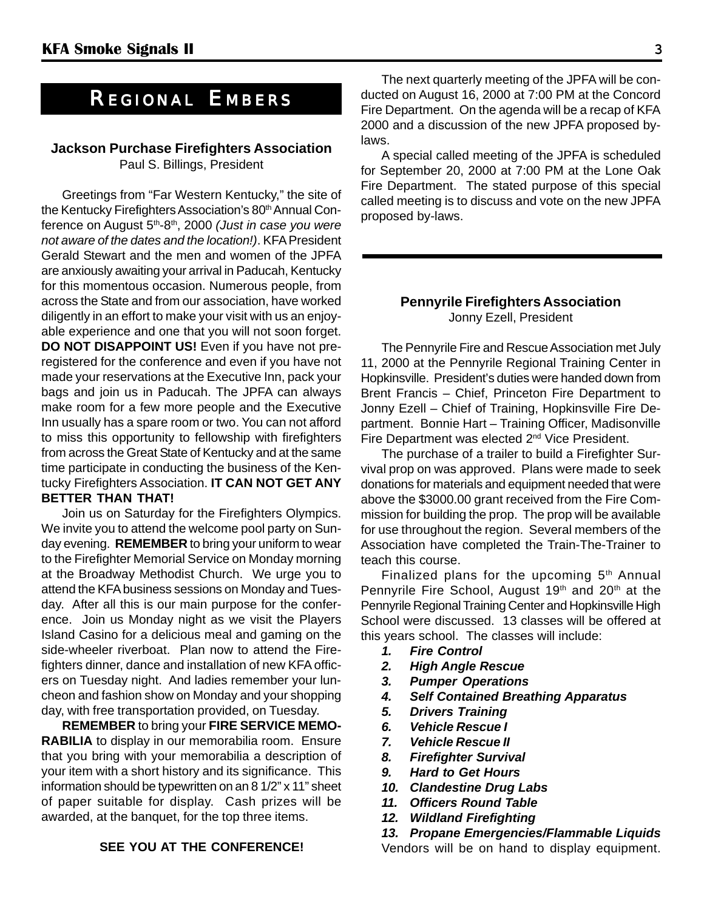### *REGIONAL EMBERS*

#### **Jackson Purchase Firefighters Association** Paul S. Billings, President

Greetings from "Far Western Kentucky," the site of the Kentucky Firefighters Association's 80<sup>th</sup> Annual Conference on August 5th-8th, 2000 *(Just in case you were not aware of the dates and the location!)*. KFA President Gerald Stewart and the men and women of the JPFA are anxiously awaiting your arrival in Paducah, Kentucky for this momentous occasion. Numerous people, from across the State and from our association, have worked diligently in an effort to make your visit with us an enjoyable experience and one that you will not soon forget. **DO NOT DISAPPOINT US!** Even if you have not preregistered for the conference and even if you have not made your reservations at the Executive Inn, pack your bags and join us in Paducah. The JPFA can always make room for a few more people and the Executive Inn usually has a spare room or two. You can not afford to miss this opportunity to fellowship with firefighters from across the Great State of Kentucky and at the same time participate in conducting the business of the Kentucky Firefighters Association. **IT CAN NOT GET ANY BETTER THAN THAT!**

Join us on Saturday for the Firefighters Olympics. We invite you to attend the welcome pool party on Sunday evening. **REMEMBER** to bring your uniform to wear to the Firefighter Memorial Service on Monday morning at the Broadway Methodist Church. We urge you to attend the KFA business sessions on Monday and Tuesday. After all this is our main purpose for the conference. Join us Monday night as we visit the Players Island Casino for a delicious meal and gaming on the side-wheeler riverboat. Plan now to attend the Firefighters dinner, dance and installation of new KFA officers on Tuesday night. And ladies remember your luncheon and fashion show on Monday and your shopping day, with free transportation provided, on Tuesday.

**REMEMBER** to bring your **FIRE SERVICE MEMO-RABILIA** to display in our memorabilia room. Ensure that you bring with your memorabilia a description of your item with a short history and its significance. This information should be typewritten on an 8 1/2" x 11" sheet of paper suitable for display. Cash prizes will be awarded, at the banquet, for the top three items.

#### **SEE YOU AT THE CONFERENCE!**

The next quarterly meeting of the JPFA will be conducted on August 16, 2000 at 7:00 PM at the Concord Fire Department. On the agenda will be a recap of KFA 2000 and a discussion of the new JPFA proposed bylaws.

A special called meeting of the JPFA is scheduled for September 20, 2000 at 7:00 PM at the Lone Oak Fire Department. The stated purpose of this special called meeting is to discuss and vote on the new JPFA proposed by-laws.

#### **Pennyrile Firefighters Association** Jonny Ezell, President

The Pennyrile Fire and Rescue Association met July 11, 2000 at the Pennyrile Regional Training Center in Hopkinsville. President's duties were handed down from Brent Francis – Chief, Princeton Fire Department to Jonny Ezell – Chief of Training, Hopkinsville Fire Department. Bonnie Hart – Training Officer, Madisonville Fire Department was elected 2<sup>nd</sup> Vice President.

The purchase of a trailer to build a Firefighter Survival prop on was approved. Plans were made to seek donations for materials and equipment needed that were above the \$3000.00 grant received from the Fire Commission for building the prop. The prop will be available for use throughout the region. Several members of the Association have completed the Train-The-Trainer to teach this course.

Finalized plans for the upcoming  $5<sup>th</sup>$  Annual Pennyrile Fire School, August 19<sup>th</sup> and 20<sup>th</sup> at the Pennyrile Regional Training Center and Hopkinsville High School were discussed. 13 classes will be offered at this years school. The classes will include:

- *1. Fire Control*
- *2. High Angle Rescue*
- *3. Pumper Operations*
- *4. Self Contained Breathing Apparatus*
- *5. Drivers Training*
- *6. Vehicle Rescue I*
- *7. Vehicle Rescue II*
- *8. Firefighter Survival*
- *9. Hard to Get Hours*
- *10. Clandestine Drug Labs*
- *11. Officers Round Table*
- *12. Wildland Firefighting*
- *13. Propane Emergencies/Flammable Liquids*

Vendors will be on hand to display equipment.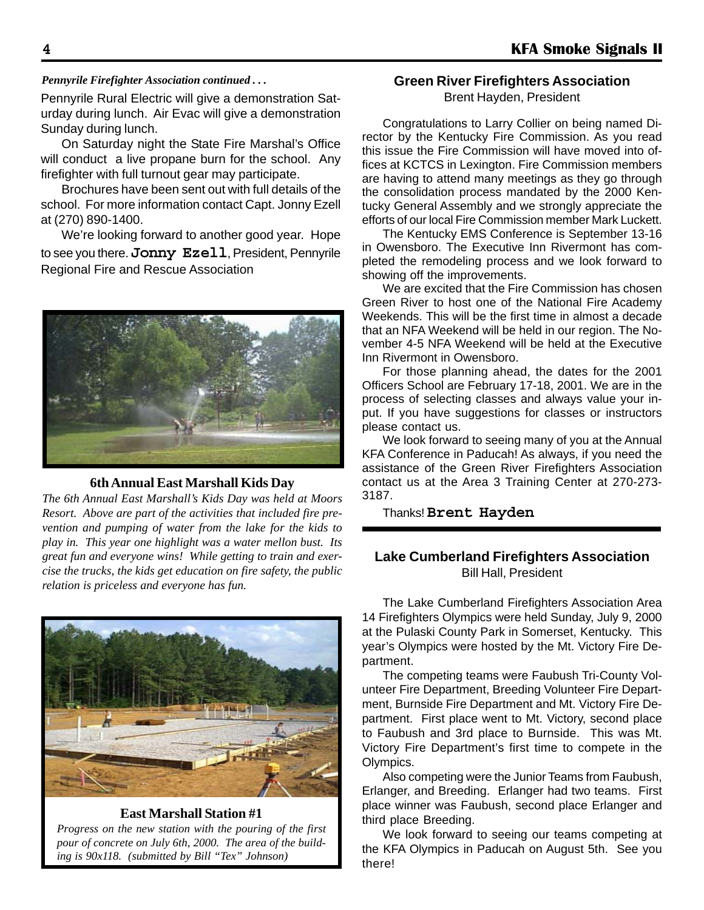#### *Pennyrile Firefighter Association continued . . .*

Pennyrile Rural Electric will give a demonstration Saturday during lunch. Air Evac will give a demonstration Sunday during lunch.

On Saturday night the State Fire Marshal's Office will conduct a live propane burn for the school. Any firefighter with full turnout gear may participate.

Brochures have been sent out with full details of the school. For more information contact Capt. Jonny Ezell at (270) 890-1400.

We're looking forward to another good year. Hope to see you there. **Jonny Ezell**, President, Pennyrile Regional Fire and Rescue Association



#### **6th Annual East Marshall Kids Day**

*The 6th Annual East Marshall's Kids Day was held at Moors Resort. Above are part of the activities that included fire prevention and pumping of water from the lake for the kids to play in. This year one highlight was a water mellon bust. Its great fun and everyone wins! While getting to train and exercise the trucks, the kids get education on fire safety, the public relation is priceless and everyone has fun.*



**East Marshall Station #1**

*Progress on the new station with the pouring of the first pour of concrete on July 6th, 2000. The area of the building is 90x118. (submitted by Bill "Tex" Johnson)*

#### **Green River Firefighters Association**

Brent Hayden, President

Congratulations to Larry Collier on being named Director by the Kentucky Fire Commission. As you read this issue the Fire Commission will have moved into offices at KCTCS in Lexington. Fire Commission members are having to attend many meetings as they go through the consolidation process mandated by the 2000 Kentucky General Assembly and we strongly appreciate the efforts of our local Fire Commission member Mark Luckett.

The Kentucky EMS Conference is September 13-16 in Owensboro. The Executive Inn Rivermont has completed the remodeling process and we look forward to showing off the improvements.

We are excited that the Fire Commission has chosen Green River to host one of the National Fire Academy Weekends. This will be the first time in almost a decade that an NFA Weekend will be held in our region. The November 4-5 NFA Weekend will be held at the Executive Inn Rivermont in Owensboro.

For those planning ahead, the dates for the 2001 Officers School are February 17-18, 2001. We are in the process of selecting classes and always value your input. If you have suggestions for classes or instructors please contact us.

We look forward to seeing many of you at the Annual KFA Conference in Paducah! As always, if you need the assistance of the Green River Firefighters Association contact us at the Area 3 Training Center at 270-273- 3187.

Thanks! **Brent Hayden**

#### **Lake Cumberland Firefighters Association** Bill Hall, President

The Lake Cumberland Firefighters Association Area 14 Firefighters Olympics were held Sunday, July 9, 2000 at the Pulaski County Park in Somerset, Kentucky. This year's Olympics were hosted by the Mt. Victory Fire Department.

The competing teams were Faubush Tri-County Volunteer Fire Department, Breeding Volunteer Fire Department, Burnside Fire Department and Mt. Victory Fire Department. First place went to Mt. Victory, second place to Faubush and 3rd place to Burnside. This was Mt. Victory Fire Department's first time to compete in the Olympics.

Also competing were the Junior Teams from Faubush, Erlanger, and Breeding. Erlanger had two teams. First place winner was Faubush, second place Erlanger and third place Breeding.

We look forward to seeing our teams competing at the KFA Olympics in Paducah on August 5th. See you there!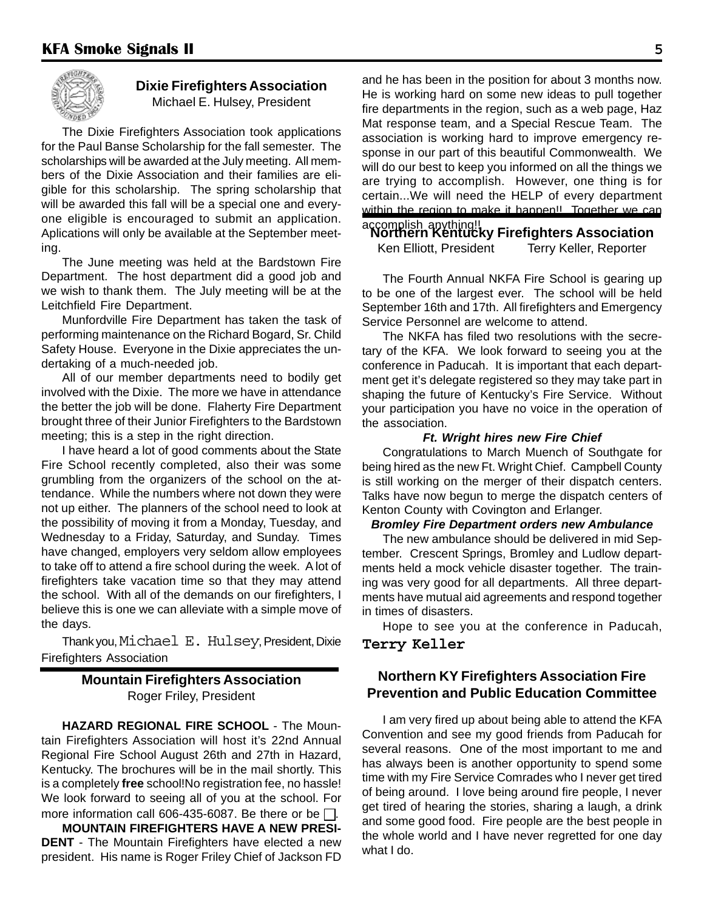

#### **Dixie Firefighters Association** Michael E. Hulsey, President

The Dixie Firefighters Association took applications for the Paul Banse Scholarship for the fall semester. The scholarships will be awarded at the July meeting. All members of the Dixie Association and their families are eligible for this scholarship. The spring scholarship that will be awarded this fall will be a special one and everyone eligible is encouraged to submit an application. Aplications will only be available at the September meeting.

The June meeting was held at the Bardstown Fire Department. The host department did a good job and we wish to thank them. The July meeting will be at the Leitchfield Fire Department.

Munfordville Fire Department has taken the task of performing maintenance on the Richard Bogard, Sr. Child Safety House. Everyone in the Dixie appreciates the undertaking of a much-needed job.

All of our member departments need to bodily get involved with the Dixie. The more we have in attendance the better the job will be done. Flaherty Fire Department brought three of their Junior Firefighters to the Bardstown meeting; this is a step in the right direction.

I have heard a lot of good comments about the State Fire School recently completed, also their was some grumbling from the organizers of the school on the attendance. While the numbers where not down they were not up either. The planners of the school need to look at the possibility of moving it from a Monday, Tuesday, and Wednesday to a Friday, Saturday, and Sunday. Times have changed, employers very seldom allow employees to take off to attend a fire school during the week. A lot of firefighters take vacation time so that they may attend the school. With all of the demands on our firefighters, I believe this is one we can alleviate with a simple move of the days.

Thank you, Michael E. Hulsey, President, Dixie Firefighters Association

#### **Mountain Firefighters Association** Roger Friley, President

**HAZARD REGIONAL FIRE SCHOOL** - The Mountain Firefighters Association will host it's 22nd Annual Regional Fire School August 26th and 27th in Hazard, Kentucky. The brochures will be in the mail shortly. This is a completely **free** school!No registration fee, no hassle! We look forward to seeing all of you at the school. For more information call 606-435-6087. Be there or be  $\Box$ .

**MOUNTAIN FIREFIGHTERS HAVE A NEW PRESI-DENT** - The Mountain Firefighters have elected a new president. His name is Roger Friley Chief of Jackson FD and he has been in the position for about 3 months now. He is working hard on some new ideas to pull together fire departments in the region, such as a web page, Haz Mat response team, and a Special Rescue Team. The association is working hard to improve emergency response in our part of this beautiful Commonwealth. We will do our best to keep you informed on all the things we are trying to accomplish. However, one thing is for certain...We will need the HELP of every department within the region to make it happen!! Together we can

#### accomplish anything!! **Northern Kentucky Firefighters Association** Ken Elliott, President Terry Keller, Reporter

The Fourth Annual NKFA Fire School is gearing up to be one of the largest ever. The school will be held September 16th and 17th. All firefighters and Emergency Service Personnel are welcome to attend.

The NKFA has filed two resolutions with the secretary of the KFA. We look forward to seeing you at the conference in Paducah. It is important that each department get it's delegate registered so they may take part in shaping the future of Kentucky's Fire Service. Without your participation you have no voice in the operation of the association.

#### *Ft. Wright hires new Fire Chief*

Congratulations to March Muench of Southgate for being hired as the new Ft. Wright Chief. Campbell County is still working on the merger of their dispatch centers. Talks have now begun to merge the dispatch centers of Kenton County with Covington and Erlanger.

#### *Bromley Fire Department orders new Ambulance*

The new ambulance should be delivered in mid September. Crescent Springs, Bromley and Ludlow departments held a mock vehicle disaster together. The training was very good for all departments. All three departments have mutual aid agreements and respond together in times of disasters.

Hope to see you at the conference in Paducah, **Terry Keller**

#### **Northern KY Firefighters Association Fire Prevention and Public Education Committee**

I am very fired up about being able to attend the KFA Convention and see my good friends from Paducah for several reasons. One of the most important to me and has always been is another opportunity to spend some time with my Fire Service Comrades who I never get tired of being around. I love being around fire people, I never get tired of hearing the stories, sharing a laugh, a drink and some good food. Fire people are the best people in the whole world and I have never regretted for one day what I do.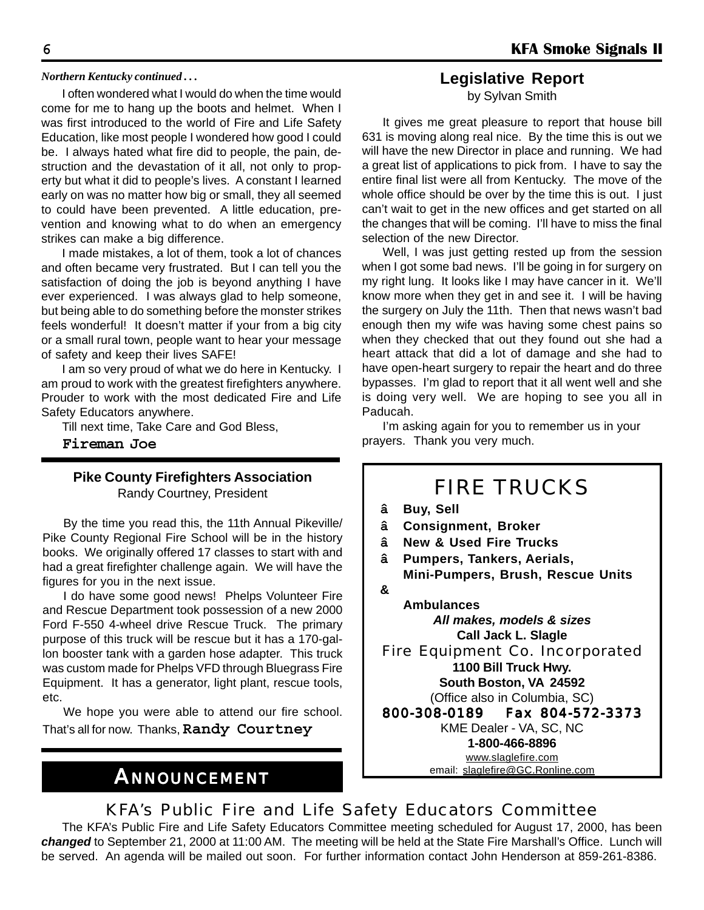#### *Northern Kentucky continued . . .*

I often wondered what I would do when the time would come for me to hang up the boots and helmet. When I was first introduced to the world of Fire and Life Safety Education, like most people I wondered how good I could be. I always hated what fire did to people, the pain, destruction and the devastation of it all, not only to property but what it did to people's lives. A constant I learned early on was no matter how big or small, they all seemed to could have been prevented. A little education, prevention and knowing what to do when an emergency strikes can make a big difference.

I made mistakes, a lot of them, took a lot of chances and often became very frustrated. But I can tell you the satisfaction of doing the job is beyond anything I have ever experienced. I was always glad to help someone, but being able to do something before the monster strikes feels wonderful! It doesn't matter if your from a big city or a small rural town, people want to hear your message of safety and keep their lives SAFE!

I am so very proud of what we do here in Kentucky. I am proud to work with the greatest firefighters anywhere. Prouder to work with the most dedicated Fire and Life Safety Educators anywhere.

Till next time, Take Care and God Bless,

**Fireman Joe**

#### **Pike County Firefighters Association** Randy Courtney, President

By the time you read this, the 11th Annual Pikeville/ Pike County Regional Fire School will be in the history books. We originally offered 17 classes to start with and had a great firefighter challenge again. We will have the figures for you in the next issue.

I do have some good news! Phelps Volunteer Fire and Rescue Department took possession of a new 2000 Ford F-550 4-wheel drive Rescue Truck. The primary purpose of this truck will be rescue but it has a 170-gallon booster tank with a garden hose adapter. This truck was custom made for Phelps VFD through Bluegrass Fire Equipment. It has a generator, light plant, rescue tools, etc.

We hope you were able to attend our fire school. That's all for now. Thanks, **Randy Courtney**

### *ANNOUNCEMENT*

#### **Legislative Report**

by Sylvan Smith

It gives me great pleasure to report that house bill 631 is moving along real nice. By the time this is out we will have the new Director in place and running. We had a great list of applications to pick from. I have to say the entire final list were all from Kentucky. The move of the whole office should be over by the time this is out. I just can't wait to get in the new offices and get started on all the changes that will be coming. I'll have to miss the final selection of the new Director.

Well, I was just getting rested up from the session when I got some bad news. I'll be going in for surgery on my right lung. It looks like I may have cancer in it. We'll know more when they get in and see it. I will be having the surgery on July the 11th. Then that news wasn't bad enough then my wife was having some chest pains so when they checked that out they found out she had a heart attack that did a lot of damage and she had to have open-heart surgery to repair the heart and do three bypasses. I'm glad to report that it all went well and she is doing very well. We are hoping to see you all in Paducah.

I'm asking again for you to remember us in your prayers. Thank you very much.

### FIRE TRUCKS

- **â Buy, Sell**
- **â Consignment, Broker**
- **â New & Used Fire Trucks**
- **â Pumpers, Tankers, Aerials, Mini-Pumpers, Brush, Rescue Units &**
	- **Ambulances** *All makes, models & sizes* **Call Jack L. Slagle**

Fire Equipment Co. Incorporated **1100 Bill Truck Hwy. South Boston, VA 24592** (Office also in Columbia, SC)

800-308-0189 Fax 804-572-3373 KME Dealer - VA, SC, NC **1-800-466-8896** www.slaglefire.com email: slaglefire@GC.Ronline.com

#### KFA's Public Fire and Life Safety Educators Committee

The KFA's Public Fire and Life Safety Educators Committee meeting scheduled for August 17, 2000, has been *changed* to September 21, 2000 at 11:00 AM. The meeting will be held at the State Fire Marshall's Office. Lunch will be served. An agenda will be mailed out soon. For further information contact John Henderson at 859-261-8386.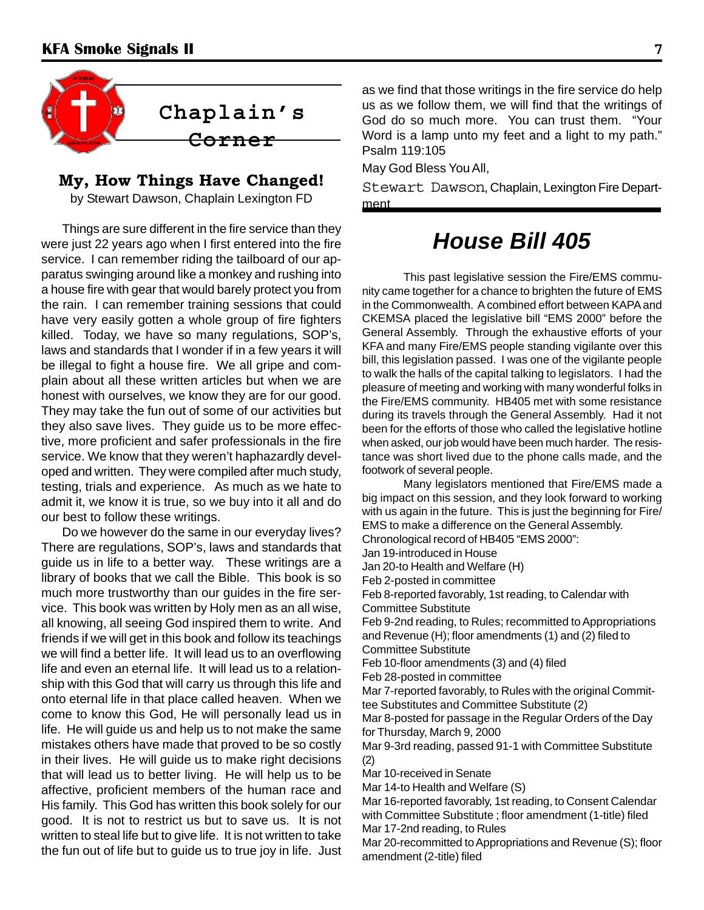

#### **My, How Things Have Changed!**

by Stewart Dawson, Chaplain Lexington FD

Things are sure different in the fire service than they were just 22 years ago when I first entered into the fire service. I can remember riding the tailboard of our apparatus swinging around like a monkey and rushing into a house fire with gear that would barely protect you from the rain. I can remember training sessions that could have very easily gotten a whole group of fire fighters killed. Today, we have so many regulations, SOP's, laws and standards that I wonder if in a few years it will be illegal to fight a house fire. We all gripe and complain about all these written articles but when we are honest with ourselves, we know they are for our good. They may take the fun out of some of our activities but they also save lives. They guide us to be more effective, more proficient and safer professionals in the fire service. We know that they weren't haphazardly developed and written. They were compiled after much study, testing, trials and experience. As much as we hate to admit it, we know it is true, so we buy into it all and do our best to follow these writings.

Do we however do the same in our everyday lives? There are regulations, SOP's, laws and standards that guide us in life to a better way. These writings are a library of books that we call the Bible. This book is so much more trustworthy than our guides in the fire service. This book was written by Holy men as an all wise, all knowing, all seeing God inspired them to write. And friends if we will get in this book and follow its teachings we will find a better life. It will lead us to an overflowing life and even an eternal life. It will lead us to a relationship with this God that will carry us through this life and onto eternal life in that place called heaven. When we come to know this God, He will personally lead us in life. He will guide us and help us to not make the same mistakes others have made that proved to be so costly in their lives. He will guide us to make right decisions that will lead us to better living. He will help us to be affective, proficient members of the human race and His family. This God has written this book solely for our good. It is not to restrict us but to save us. It is not written to steal life but to give life. It is not written to take the fun out of life but to guide us to true joy in life. Just as we find that those writings in the fire service do help us as we follow them, we will find that the writings of God do so much more. You can trust them. "Your Word is a lamp unto my feet and a light to my path." Psalm 119:105

May God Bless You All,

Stewart Dawson, Chaplain, Lexington Fire Department

### *House Bill 405*

This past legislative session the Fire/EMS community came together for a chance to brighten the future of EMS in the Commonwealth. A combined effort between KAPA and CKEMSA placed the legislative bill "EMS 2000" before the General Assembly. Through the exhaustive efforts of your KFA and many Fire/EMS people standing vigilante over this bill, this legislation passed. I was one of the vigilante people to walk the halls of the capital talking to legislators. I had the pleasure of meeting and working with many wonderful folks in the Fire/EMS community. HB405 met with some resistance during its travels through the General Assembly. Had it not been for the efforts of those who called the legislative hotline when asked, our job would have been much harder. The resistance was short lived due to the phone calls made, and the footwork of several people.

Many legislators mentioned that Fire/EMS made a big impact on this session, and they look forward to working with us again in the future. This is just the beginning for Fire/ EMS to make a difference on the General Assembly.

Chronological record of HB405 "EMS 2000":

Jan 19-introduced in House

Jan 20-to Health and Welfare (H)

Feb 2-posted in committee

Feb 8-reported favorably, 1st reading, to Calendar with Committee Substitute

Feb 9-2nd reading, to Rules; recommitted to Appropriations and Revenue (H); floor amendments (1) and (2) filed to Committee Substitute

Feb 10-floor amendments (3) and (4) filed

Feb 28-posted in committee

Mar 7-reported favorably, to Rules with the original Committee Substitutes and Committee Substitute (2)

Mar 8-posted for passage in the Regular Orders of the Day for Thursday, March 9, 2000

Mar 9-3rd reading, passed 91-1 with Committee Substitute (2)

Mar 10-received in Senate

Mar 14-to Health and Welfare (S)

Mar 16-reported favorably, 1st reading, to Consent Calendar with Committee Substitute ; floor amendment (1-title) filed Mar 17-2nd reading, to Rules

Mar 20-recommitted to Appropriations and Revenue (S); floor amendment (2-title) filed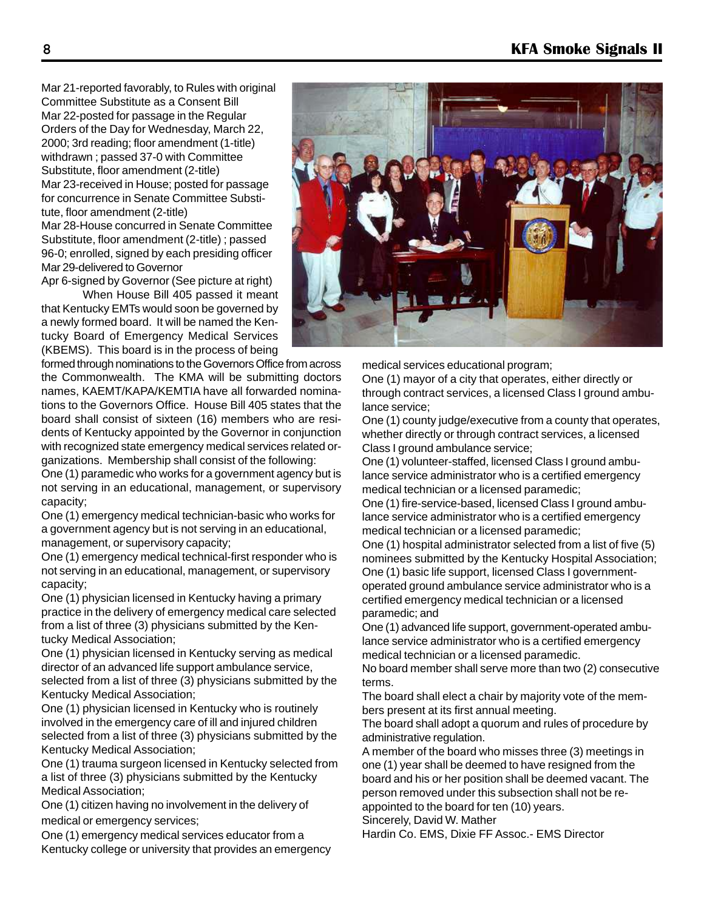Mar 21-reported favorably, to Rules with original Committee Substitute as a Consent Bill Mar 22-posted for passage in the Regular Orders of the Day for Wednesday, March 22, 2000; 3rd reading; floor amendment (1-title) withdrawn ; passed 37-0 with Committee Substitute, floor amendment (2-title) Mar 23-received in House; posted for passage for concurrence in Senate Committee Substitute, floor amendment (2-title) Mar 28-House concurred in Senate Committee Substitute, floor amendment (2-title) ; passed 96-0; enrolled, signed by each presiding officer Mar 29-delivered to Governor

Apr 6-signed by Governor (See picture at right)

When House Bill 405 passed it meant that Kentucky EMTs would soon be governed by a newly formed board. It will be named the Kentucky Board of Emergency Medical Services (KBEMS). This board is in the process of being

formed through nominations to the Governors Office from across the Commonwealth. The KMA will be submitting doctors names, KAEMT/KAPA/KEMTIA have all forwarded nominations to the Governors Office. House Bill 405 states that the board shall consist of sixteen (16) members who are residents of Kentucky appointed by the Governor in conjunction with recognized state emergency medical services related organizations. Membership shall consist of the following:

One (1) paramedic who works for a government agency but is not serving in an educational, management, or supervisory capacity;

One (1) emergency medical technician-basic who works for a government agency but is not serving in an educational, management, or supervisory capacity;

One (1) emergency medical technical-first responder who is not serving in an educational, management, or supervisory capacity;

One (1) physician licensed in Kentucky having a primary practice in the delivery of emergency medical care selected from a list of three (3) physicians submitted by the Kentucky Medical Association;

One (1) physician licensed in Kentucky serving as medical director of an advanced life support ambulance service, selected from a list of three (3) physicians submitted by the Kentucky Medical Association;

One (1) physician licensed in Kentucky who is routinely involved in the emergency care of ill and injured children selected from a list of three (3) physicians submitted by the Kentucky Medical Association;

One (1) trauma surgeon licensed in Kentucky selected from a list of three (3) physicians submitted by the Kentucky Medical Association;

One (1) citizen having no involvement in the delivery of medical or emergency services;

One (1) emergency medical services educator from a Kentucky college or university that provides an emergency



medical services educational program;

One (1) mayor of a city that operates, either directly or through contract services, a licensed Class I ground ambulance service;

One (1) county judge/executive from a county that operates, whether directly or through contract services, a licensed Class I ground ambulance service;

One (1) volunteer-staffed, licensed Class I ground ambulance service administrator who is a certified emergency medical technician or a licensed paramedic;

One (1) fire-service-based, licensed Class I ground ambulance service administrator who is a certified emergency medical technician or a licensed paramedic;

One (1) hospital administrator selected from a list of five (5) nominees submitted by the Kentucky Hospital Association; One (1) basic life support, licensed Class I governmentoperated ground ambulance service administrator who is a certified emergency medical technician or a licensed paramedic; and

One (1) advanced life support, government-operated ambulance service administrator who is a certified emergency medical technician or a licensed paramedic.

No board member shall serve more than two (2) consecutive terms.

The board shall elect a chair by majority vote of the members present at its first annual meeting.

The board shall adopt a quorum and rules of procedure by administrative regulation.

A member of the board who misses three (3) meetings in one (1) year shall be deemed to have resigned from the board and his or her position shall be deemed vacant. The person removed under this subsection shall not be reappointed to the board for ten (10) years.

Sincerely, David W. Mather

Hardin Co. EMS, Dixie FF Assoc.- EMS Director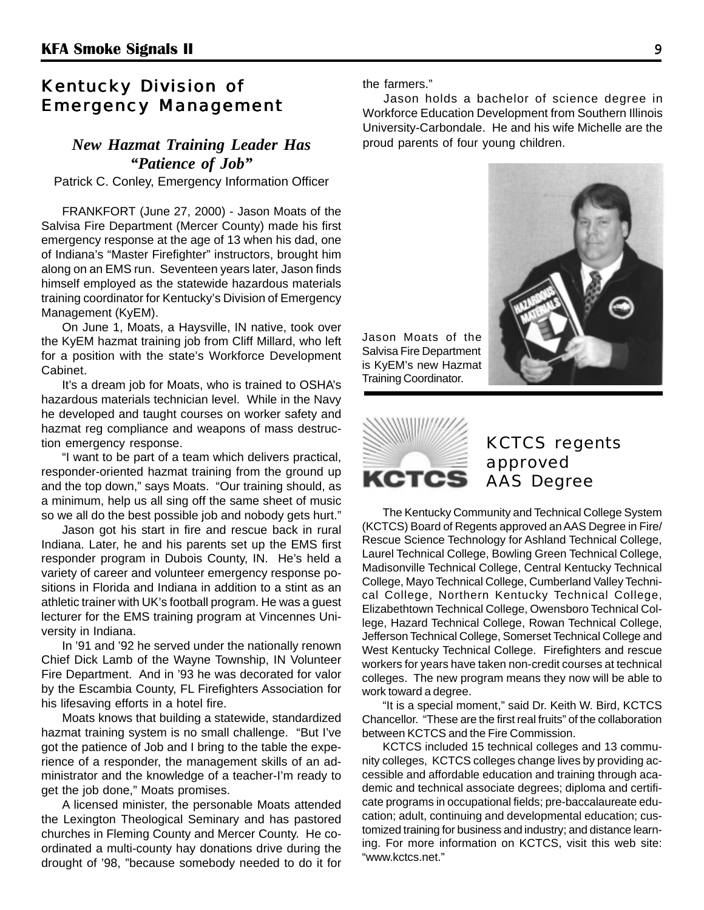#### Kentucky Division of **Emergency Management**

### *New Hazmat Training Leader Has "Patience of Job"*

Patrick C. Conley, Emergency Information Officer

FRANKFORT (June 27, 2000) - Jason Moats of the Salvisa Fire Department (Mercer County) made his first emergency response at the age of 13 when his dad, one of Indiana's "Master Firefighter" instructors, brought him along on an EMS run. Seventeen years later, Jason finds himself employed as the statewide hazardous materials training coordinator for Kentucky's Division of Emergency Management (KyEM).

On June 1, Moats, a Haysville, IN native, took over the KyEM hazmat training job from Cliff Millard, who left for a position with the state's Workforce Development Cabinet.

It's a dream job for Moats, who is trained to OSHA's hazardous materials technician level. While in the Navy he developed and taught courses on worker safety and hazmat reg compliance and weapons of mass destruction emergency response.

"I want to be part of a team which delivers practical, responder-oriented hazmat training from the ground up and the top down," says Moats. "Our training should, as a minimum, help us all sing off the same sheet of music so we all do the best possible job and nobody gets hurt."

Jason got his start in fire and rescue back in rural Indiana. Later, he and his parents set up the EMS first responder program in Dubois County, IN. He's held a variety of career and volunteer emergency response positions in Florida and Indiana in addition to a stint as an athletic trainer with UK's football program. He was a guest lecturer for the EMS training program at Vincennes University in Indiana.

In '91 and '92 he served under the nationally renown Chief Dick Lamb of the Wayne Township, IN Volunteer Fire Department. And in '93 he was decorated for valor by the Escambia County, FL Firefighters Association for his lifesaving efforts in a hotel fire.

Moats knows that building a statewide, standardized hazmat training system is no small challenge. "But I've got the patience of Job and I bring to the table the experience of a responder, the management skills of an administrator and the knowledge of a teacher-I'm ready to get the job done," Moats promises.

A licensed minister, the personable Moats attended the Lexington Theological Seminary and has pastored churches in Fleming County and Mercer County. He coordinated a multi-county hay donations drive during the drought of '98, "because somebody needed to do it for

the farmers."

Jason holds a bachelor of science degree in Workforce Education Development from Southern Illinois University-Carbondale. He and his wife Michelle are the proud parents of four young children.

Jason Moats of the Salvisa Fire Department is KyEM's new Hazmat Training Coordinator.





### KCTCS regents approved AAS Degree

The Kentucky Community and Technical College System (KCTCS) Board of Regents approved an AAS Degree in Fire/ Rescue Science Technology for Ashland Technical College, Laurel Technical College, Bowling Green Technical College, Madisonville Technical College, Central Kentucky Technical College, Mayo Technical College, Cumberland Valley Technical College, Northern Kentucky Technical College, Elizabethtown Technical College, Owensboro Technical College, Hazard Technical College, Rowan Technical College, Jefferson Technical College, Somerset Technical College and West Kentucky Technical College. Firefighters and rescue workers for years have taken non-credit courses at technical colleges. The new program means they now will be able to work toward a degree.

"It is a special moment," said Dr. Keith W. Bird, KCTCS Chancellor. "These are the first real fruits" of the collaboration between KCTCS and the Fire Commission.

KCTCS included 15 technical colleges and 13 community colleges, KCTCS colleges change lives by providing accessible and affordable education and training through academic and technical associate degrees; diploma and certificate programs in occupational fields; pre-baccalaureate education; adult, continuing and developmental education; customized training for business and industry; and distance learning. For more information on KCTCS, visit this web site: "www.kctcs.net."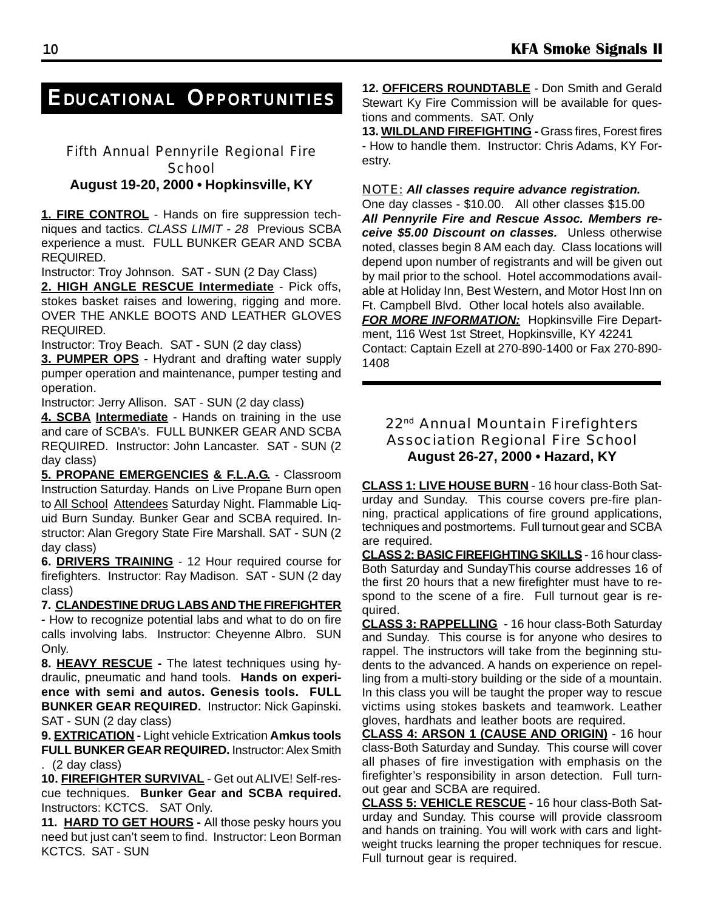### *EDUCATIONAL OPPORTUNITIES*

#### Fifth Annual Pennyrile Regional Fire **School August 19-20, 2000 • Hopkinsville, KY**

**1. FIRE CONTROL** - Hands on fire suppression techniques and tactics. *CLASS LIMIT - 28* Previous SCBA experience a must. FULL BUNKER GEAR AND SCBA REQUIRED.

Instructor: Troy Johnson. SAT - SUN (2 Day Class)

**2. HIGH ANGLE RESCUE Intermediate** - Pick offs, stokes basket raises and lowering, rigging and more. OVER THE ANKLE BOOTS AND LEATHER GLOVES REQUIRED.

Instructor: Troy Beach. SAT - SUN (2 day class)

**3. PUMPER OPS** - Hydrant and drafting water supply pumper operation and maintenance, pumper testing and operation.

Instructor: Jerry Allison. SAT - SUN (2 day class)

**4. SCBA Intermediate** - Hands on training in the use and care of SCBA's. FULL BUNKER GEAR AND SCBA REQUIRED. Instructor: John Lancaster. SAT - SUN (2 day class)

**5. PROPANE EMERGENCIES & F.L.A.G.** - Classroom Instruction Saturday. Hands on Live Propane Burn open to All School Attendees Saturday Night. Flammable Liquid Burn Sunday. Bunker Gear and SCBA required. Instructor: Alan Gregory State Fire Marshall. SAT - SUN (2 day class)

**6. DRIVERS TRAINING** - 12 Hour required course for firefighters. Instructor: Ray Madison. SAT - SUN (2 day class)

**7. CLANDESTINE DRUG LABS AND THE FIREFIGHTER -** How to recognize potential labs and what to do on fire calls involving labs.Instructor: Cheyenne Albro. SUN Only.

**8. HEAVY RESCUE -** The latest techniques using hydraulic, pneumatic and hand tools. **Hands on experience with semi and autos. Genesis tools. FULL BUNKER GEAR REQUIRED.** Instructor: Nick Gapinski. SAT - SUN (2 day class)

**9. EXTRICATION -** Light vehicle Extrication **Amkus tools FULL BUNKER GEAR REQUIRED.** Instructor: Alex Smith . (2 day class)

**10. FIREFIGHTER SURVIVAL** - Get out ALIVE! Self-rescue techniques. **Bunker Gear and SCBA required.** Instructors: KCTCS. SAT Only.

**11. HARD TO GET HOURS -** All those pesky hours you need but just can't seem to find. Instructor: Leon Borman KCTCS. SAT - SUN

**12. OFFICERS ROUNDTABLE** - Don Smith and Gerald Stewart Ky Fire Commission will be available for questions and comments. SAT. Only

**13. WILDLAND FIREFIGHTING -** Grass fires, Forest fires - How to handle them. Instructor: Chris Adams, KY Forestry.

#### *NOTE: All classes require advance registration.*

One day classes - \$10.00. All other classes \$15.00 *All Pennyrile Fire and Rescue Assoc. Members receive \$5.00 Discount on classes.* Unless otherwise noted, classes begin 8 AM each day. Class locations will depend upon number of registrants and will be given out by mail prior to the school. Hotel accommodations available at Holiday Inn, Best Western, and Motor Host Inn on Ft. Campbell Blvd. Other local hotels also available. **FOR MORE INFORMATION:** Hopkinsville Fire Department, 116 West 1st Street, Hopkinsville, KY 42241 Contact: Captain Ezell at 270-890-1400 or Fax 270-890-

1408

#### 22<sup>nd</sup> Annual Mountain Firefighters Association Regional Fire School **August 26-27, 2000 • Hazard, KY**

**CLASS 1: LIVE HOUSE BURN** - 16 hour class-Both Saturday and Sunday. This course covers pre-fire planning, practical applications of fire ground applications, techniques and postmortems. Full turnout gear and SCBA are required.

**CLASS 2: BASIC FIREFIGHTING SKILLS** - 16 hour class-Both Saturday and SundayThis course addresses 16 of the first 20 hours that a new firefighter must have to respond to the scene of a fire. Full turnout gear is required.

**CLASS 3: RAPPELLING** - 16 hour class-Both Saturday and Sunday. This course is for anyone who desires to rappel. The instructors will take from the beginning students to the advanced. A hands on experience on repelling from a multi-story building or the side of a mountain. In this class you will be taught the proper way to rescue victims using stokes baskets and teamwork. Leather gloves, hardhats and leather boots are required.

**CLASS 4: ARSON 1 (CAUSE AND ORIGIN)** - 16 hour class-Both Saturday and Sunday. This course will cover all phases of fire investigation with emphasis on the firefighter's responsibility in arson detection. Full turnout gear and SCBA are required.

**CLASS 5: VEHICLE RESCUE** - 16 hour class-Both Saturday and Sunday. This course will provide classroom and hands on training. You will work with cars and lightweight trucks learning the proper techniques for rescue. Full turnout gear is required.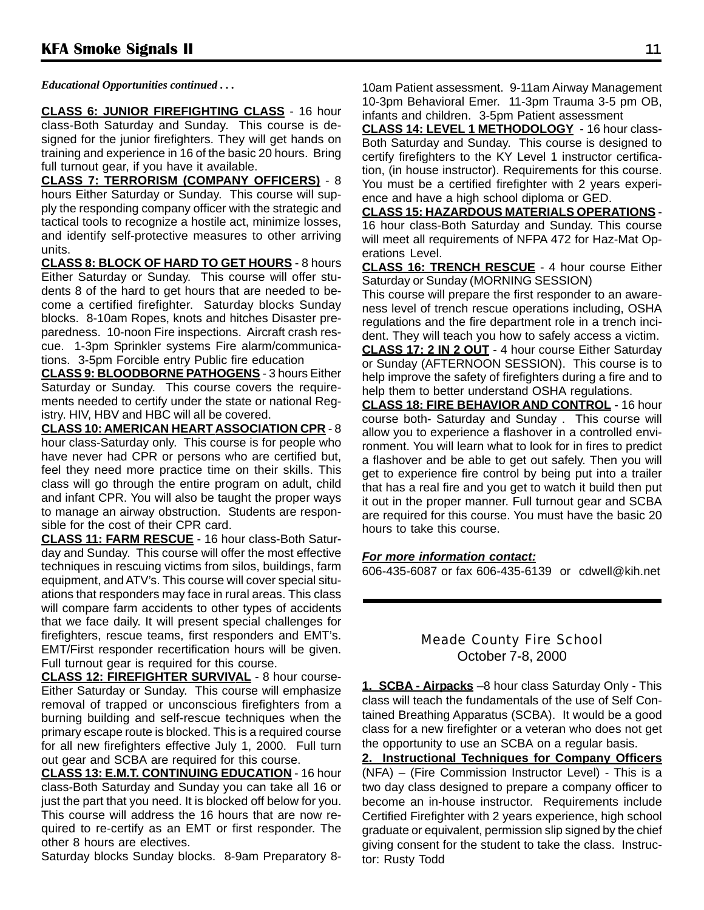*Educational Opportunities continued . . .*

**CLASS 6: JUNIOR FIREFIGHTING CLASS** - 16 hour class-Both Saturday and Sunday. This course is designed for the junior firefighters. They will get hands on training and experience in 16 of the basic 20 hours. Bring full turnout gear, if you have it available.

**CLASS 7: TERRORISM (COMPANY OFFICERS)** - 8 hours Either Saturday or Sunday. This course will supply the responding company officer with the strategic and tactical tools to recognize a hostile act, minimize losses, and identify self-protective measures to other arriving units.

**CLASS 8: BLOCK OF HARD TO GET HOURS** - 8 hours Either Saturday or Sunday. This course will offer students 8 of the hard to get hours that are needed to become a certified firefighter. Saturday blocks Sunday blocks. 8-10am Ropes, knots and hitches Disaster preparedness. 10-noon Fire inspections. Aircraft crash rescue. 1-3pm Sprinkler systems Fire alarm/communications. 3-5pm Forcible entry Public fire education

**CLASS 9: BLOODBORNE PATHOGENS** - 3 hours Either Saturday or Sunday. This course covers the requirements needed to certify under the state or national Registry. HIV, HBV and HBC will all be covered.

**CLASS 10: AMERICAN HEART ASSOCIATION CPR** - 8 hour class-Saturday only. This course is for people who have never had CPR or persons who are certified but, feel they need more practice time on their skills. This class will go through the entire program on adult, child and infant CPR. You will also be taught the proper ways to manage an airway obstruction. Students are responsible for the cost of their CPR card.

**CLASS 11: FARM RESCUE** - 16 hour class-Both Saturday and Sunday. This course will offer the most effective techniques in rescuing victims from silos, buildings, farm equipment, and ATV's. This course will cover special situations that responders may face in rural areas. This class will compare farm accidents to other types of accidents that we face daily. It will present special challenges for firefighters, rescue teams, first responders and EMT's. EMT/First responder recertification hours will be given. Full turnout gear is required for this course.

**CLASS 12: FIREFIGHTER SURVIVAL** - 8 hour course-Either Saturday or Sunday. This course will emphasize removal of trapped or unconscious firefighters from a burning building and self-rescue techniques when the primary escape route is blocked. This is a required course for all new firefighters effective July 1, 2000. Full turn out gear and SCBA are required for this course.

**CLASS 13: E.M.T. CONTINUING EDUCATION** - 16 hour class-Both Saturday and Sunday you can take all 16 or just the part that you need. It is blocked off below for you. This course will address the 16 hours that are now required to re-certify as an EMT or first responder. The other 8 hours are electives.

Saturday blocks Sunday blocks. 8-9am Preparatory 8-

10am Patient assessment. 9-11am Airway Management 10-3pm Behavioral Emer. 11-3pm Trauma 3-5 pm OB, infants and children. 3-5pm Patient assessment

**CLASS 14: LEVEL 1 METHODOLOGY** - 16 hour class-Both Saturday and Sunday. This course is designed to certify firefighters to the KY Level 1 instructor certification, (in house instructor). Requirements for this course. You must be a certified firefighter with 2 years experience and have a high school diploma or GED.

**CLASS 15: HAZARDOUS MATERIALS OPERATIONS** - 16 hour class-Both Saturday and Sunday. This course will meet all requirements of NFPA 472 for Haz-Mat Operations Level.

**CLASS 16: TRENCH RESCUE** - 4 hour course Either Saturday or Sunday (MORNING SESSION)

This course will prepare the first responder to an awareness level of trench rescue operations including, OSHA regulations and the fire department role in a trench incident. They will teach you how to safely access a victim.

**CLASS 17: 2 IN 2 OUT** - 4 hour course Either Saturday or Sunday (AFTERNOON SESSION). This course is to help improve the safety of firefighters during a fire and to help them to better understand OSHA regulations.

**CLASS 18: FIRE BEHAVIOR AND CONTROL** - 16 hour course both- Saturday and Sunday . This course will allow you to experience a flashover in a controlled environment. You will learn what to look for in fires to predict a flashover and be able to get out safely. Then you will get to experience fire control by being put into a trailer that has a real fire and you get to watch it build then put it out in the proper manner. Full turnout gear and SCBA are required for this course. You must have the basic 20 hours to take this course.

#### *For more information contact:*

606-435-6087 or fax 606-435-6139 or cdwell@kih.net

#### Meade County Fire School October 7-8, 2000

**1. SCBA - Airpacks** –8 hour class Saturday Only - This class will teach the fundamentals of the use of Self Contained Breathing Apparatus (SCBA). It would be a good class for a new firefighter or a veteran who does not get the opportunity to use an SCBA on a regular basis.

**2. Instructional Techniques for Company Officers** (NFA) – (Fire Commission Instructor Level) - This is a two day class designed to prepare a company officer to become an in-house instructor. Requirements include Certified Firefighter with 2 years experience, high school graduate or equivalent, permission slip signed by the chief giving consent for the student to take the class. Instructor: Rusty Todd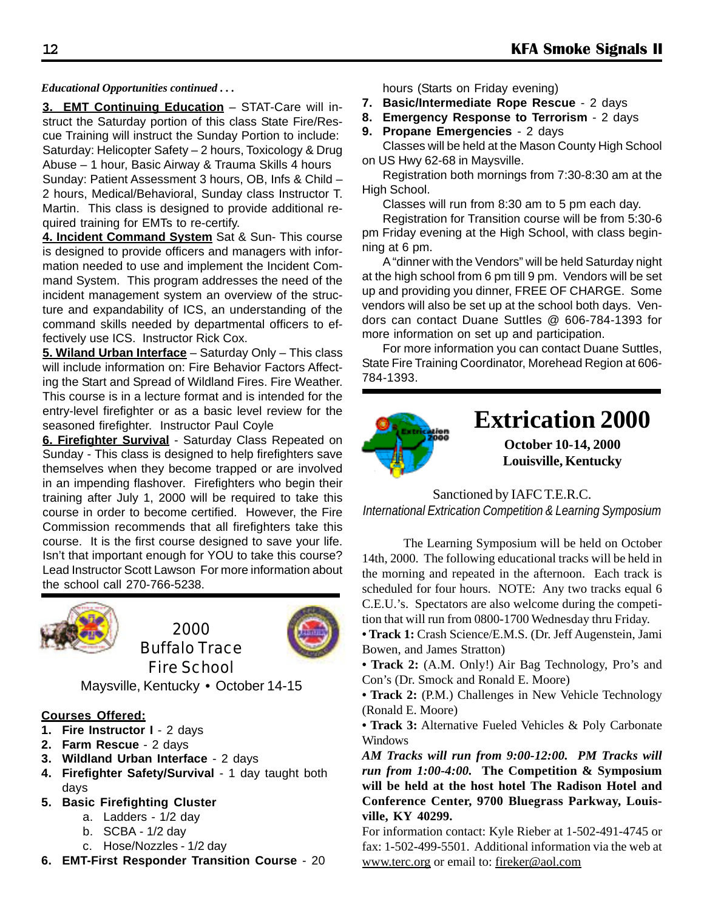#### *Educational Opportunities continued . . .*

**3. EMT Continuing Education** – STAT-Care will instruct the Saturday portion of this class State Fire/Rescue Training will instruct the Sunday Portion to include: Saturday: Helicopter Safety – 2 hours, Toxicology & Drug Abuse – 1 hour, Basic Airway & Trauma Skills 4 hours Sunday: Patient Assessment 3 hours, OB, Infs & Child – 2 hours, Medical/Behavioral, Sunday class Instructor T. Martin. This class is designed to provide additional required training for EMTs to re-certify.

**4. Incident Command System** Sat & Sun- This course is designed to provide officers and managers with information needed to use and implement the Incident Command System. This program addresses the need of the incident management system an overview of the structure and expandability of ICS, an understanding of the command skills needed by departmental officers to effectively use ICS. Instructor Rick Cox.

**5. Wiland Urban Interface** – Saturday Only – This class will include information on: Fire Behavior Factors Affecting the Start and Spread of Wildland Fires. Fire Weather. This course is in a lecture format and is intended for the entry-level firefighter or as a basic level review for the seasoned firefighter. Instructor Paul Coyle

**6. Firefighter Survival** - Saturday Class Repeated on Sunday - This class is designed to help firefighters save themselves when they become trapped or are involved in an impending flashover. Firefighters who begin their training after July 1, 2000 will be required to take this course in order to become certified. However, the Fire Commission recommends that all firefighters take this course. It is the first course designed to save your life. Isn't that important enough for YOU to take this course? Lead Instructor Scott Lawson For more information about the school call 270-766-5238.



2000 Buffalo Trace Fire School



Maysville, Kentucky • October 14-15

#### **Courses Offered:**

- **1. Fire Instructor I 2 days**
- **2. Farm Rescue** 2 days
- **3. Wildland Urban Interface** 2 days
- **4. Firefighter Safety/Survival** 1 day taught both days
- **5. Basic Firefighting Cluster**
	- a. Ladders 1/2 day
	- b. SCBA 1/2 day
	- c. Hose/Nozzles 1/2 day
- **6. EMT-First Responder Transition Course** 20

hours (Starts on Friday evening)

- **7. Basic/Intermediate Rope Rescue** 2 days
- **8. Emergency Response to Terrorism** 2 days
- **9. Propane Emergencies**  2 days Classes will be held at the Mason County High School on US Hwy 62-68 in Maysville.

Registration both mornings from 7:30-8:30 am at the High School.

Classes will run from 8:30 am to 5 pm each day.

Registration for Transition course will be from 5:30-6 pm Friday evening at the High School, with class beginning at 6 pm.

A "dinner with the Vendors" will be held Saturday night at the high school from 6 pm till 9 pm. Vendors will be set up and providing you dinner, FREE OF CHARGE. Some vendors will also be set up at the school both days. Vendors can contact Duane Suttles @ 606-784-1393 for more information on set up and participation.

For more information you can contact Duane Suttles, State Fire Training Coordinator, Morehead Region at 606- 784-1393.



Sanctioned by IAFC T.E.R.C. *International Extrication Competition & Learning Symposium*

The Learning Symposium will be held on October 14th, 2000. The following educational tracks will be held in the morning and repeated in the afternoon. Each track is scheduled for four hours. NOTE: Any two tracks equal 6 C.E.U.'s. Spectators are also welcome during the competition that will run from 0800-1700 Wednesday thru Friday.

- **Track 1:** Crash Science/E.M.S. (Dr. Jeff Augenstein, Jami Bowen, and James Stratton)
- **Track 2:** (A.M. Only!) Air Bag Technology, Pro's and Con's (Dr. Smock and Ronald E. Moore)
- **Track 2:** (P.M.) Challenges in New Vehicle Technology (Ronald E. Moore)

**• Track 3:** Alternative Fueled Vehicles & Poly Carbonate Windows

*AM Tracks will run from 9:00-12:00. PM Tracks will run from 1:00-4:00.* **The Competition & Symposium will be held at the host hotel The Radison Hotel and Conference Center, 9700 Bluegrass Parkway, Louisville, KY 40299.**

For information contact: Kyle Rieber at 1-502-491-4745 or fax: 1-502-499-5501. Additional information via the web at www.terc.org or email to: fireker@aol.com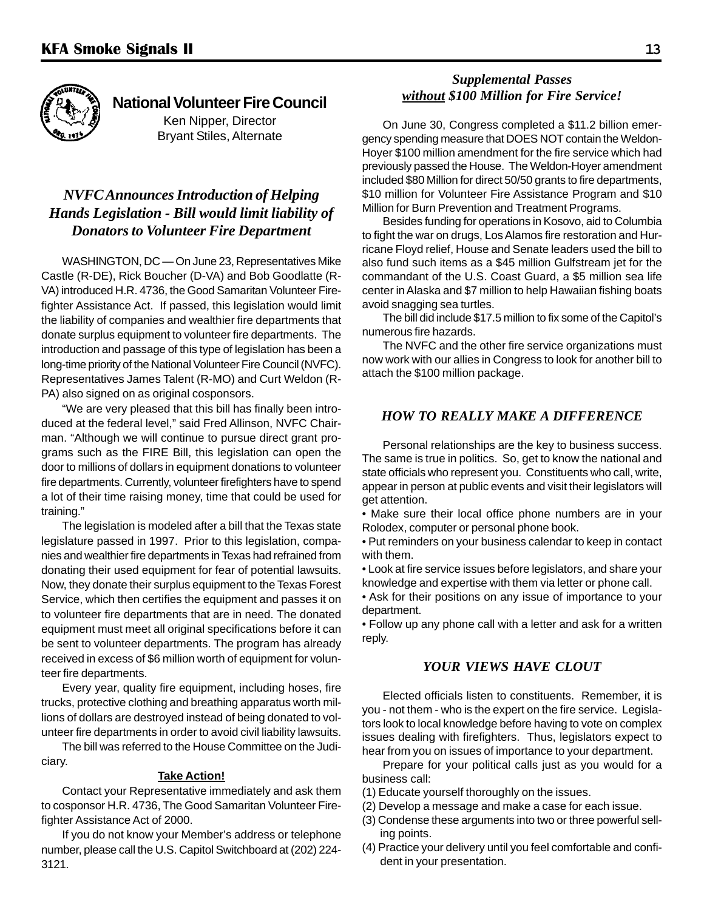

**National Volunteer Fire Council** Ken Nipper, Director Bryant Stiles, Alternate

#### *NVFC Announces Introduction of Helping Hands Legislation - Bill would limit liability of Donators to Volunteer Fire Department*

WASHINGTON, DC — On June 23, Representatives Mike Castle (R-DE), Rick Boucher (D-VA) and Bob Goodlatte (R-VA) introduced H.R. 4736, the Good Samaritan Volunteer Firefighter Assistance Act. If passed, this legislation would limit the liability of companies and wealthier fire departments that donate surplus equipment to volunteer fire departments. The introduction and passage of this type of legislation has been a long-time priority of the National Volunteer Fire Council (NVFC). Representatives James Talent (R-MO) and Curt Weldon (R-PA) also signed on as original cosponsors.

"We are very pleased that this bill has finally been introduced at the federal level," said Fred Allinson, NVFC Chairman. "Although we will continue to pursue direct grant programs such as the FIRE Bill, this legislation can open the door to millions of dollars in equipment donations to volunteer fire departments. Currently, volunteer firefighters have to spend a lot of their time raising money, time that could be used for training."

The legislation is modeled after a bill that the Texas state legislature passed in 1997. Prior to this legislation, companies and wealthier fire departments in Texas had refrained from donating their used equipment for fear of potential lawsuits. Now, they donate their surplus equipment to the Texas Forest Service, which then certifies the equipment and passes it on to volunteer fire departments that are in need. The donated equipment must meet all original specifications before it can be sent to volunteer departments. The program has already received in excess of \$6 million worth of equipment for volunteer fire departments.

Every year, quality fire equipment, including hoses, fire trucks, protective clothing and breathing apparatus worth millions of dollars are destroyed instead of being donated to volunteer fire departments in order to avoid civil liability lawsuits.

The bill was referred to the House Committee on the Judiciary.

#### **Take Action!**

Contact your Representative immediately and ask them to cosponsor H.R. 4736, The Good Samaritan Volunteer Firefighter Assistance Act of 2000.

If you do not know your Member's address or telephone number, please call the U.S. Capitol Switchboard at (202) 224- 3121.

#### *Supplemental Passes without \$100 Million for Fire Service!*

On June 30, Congress completed a \$11.2 billion emergency spending measure that DOES NOT contain the Weldon-Hoyer \$100 million amendment for the fire service which had previously passed the House. The Weldon-Hoyer amendment included \$80 Million for direct 50/50 grants to fire departments, \$10 million for Volunteer Fire Assistance Program and \$10 Million for Burn Prevention and Treatment Programs.

Besides funding for operations in Kosovo, aid to Columbia to fight the war on drugs, Los Alamos fire restoration and Hurricane Floyd relief, House and Senate leaders used the bill to also fund such items as a \$45 million Gulfstream jet for the commandant of the U.S. Coast Guard, a \$5 million sea life center in Alaska and \$7 million to help Hawaiian fishing boats avoid snagging sea turtles.

The bill did include \$17.5 million to fix some of the Capitol's numerous fire hazards.

The NVFC and the other fire service organizations must now work with our allies in Congress to look for another bill to attach the \$100 million package.

#### *HOW TO REALLY MAKE A DIFFERENCE*

Personal relationships are the key to business success. The same is true in politics. So, get to know the national and state officials who represent you. Constituents who call, write, appear in person at public events and visit their legislators will get attention.

• Make sure their local office phone numbers are in your Rolodex, computer or personal phone book.

• Put reminders on your business calendar to keep in contact with them.

• Look at fire service issues before legislators, and share your knowledge and expertise with them via letter or phone call.

• Ask for their positions on any issue of importance to your department.

• Follow up any phone call with a letter and ask for a written reply.

#### *YOUR VIEWS HAVE CLOUT*

Elected officials listen to constituents. Remember, it is you - not them - who is the expert on the fire service. Legislators look to local knowledge before having to vote on complex issues dealing with firefighters. Thus, legislators expect to hear from you on issues of importance to your department.

Prepare for your political calls just as you would for a business call:

- (1) Educate yourself thoroughly on the issues.
- (2) Develop a message and make a case for each issue.
- (3) Condense these arguments into two or three powerful selling points.
- (4) Practice your delivery until you feel comfortable and confident in your presentation.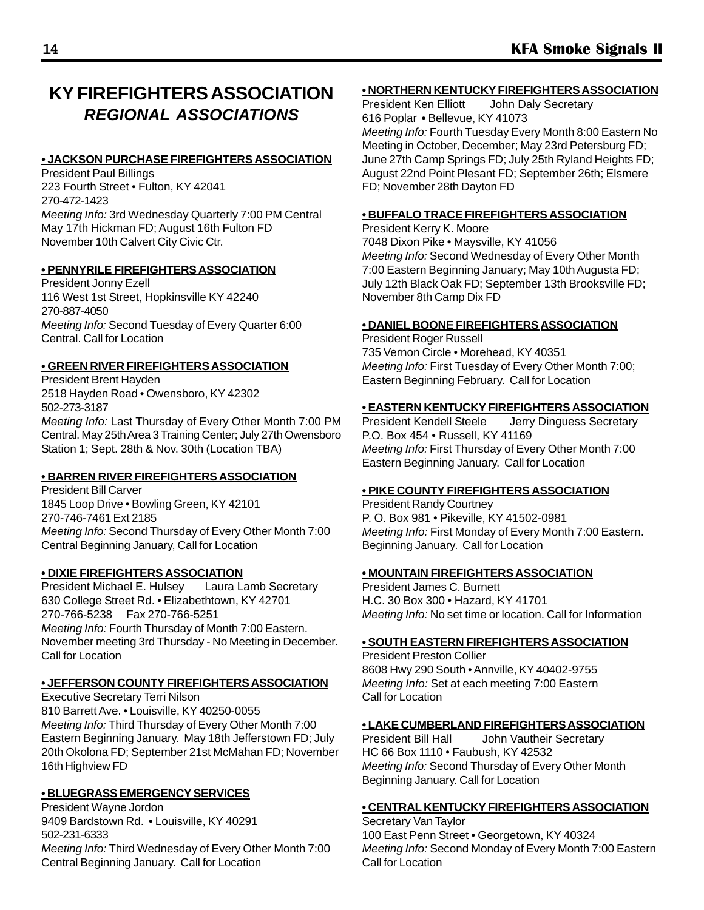### **KY FIREFIGHTERS ASSOCIATION** *REGIONAL ASSOCIATIONS*

#### *•* **JACKSON PURCHASE FIREFIGHTERS ASSOCIATION**

President Paul Billings 223 Fourth Street • Fulton, KY 42041 270-472-1423 *Meeting Info:* 3rd Wednesday Quarterly 7:00 PM Central May 17th Hickman FD; August 16th Fulton FD November 10th Calvert City Civic Ctr.

#### **• PENNYRILE FIREFIGHTERS ASSOCIATION**

President Jonny Ezell 116 West 1st Street, Hopkinsville KY 42240 270-887-4050 *Meeting Info:* Second Tuesday of Every Quarter 6:00 Central. Call for Location

#### **• GREEN RIVER FIREFIGHTERS ASSOCIATION**

President Brent Hayden 2518 Hayden Road • Owensboro, KY 42302 502-273-3187 *Meeting Info:* Last Thursday of Every Other Month 7:00 PM Central. May 25th Area 3 Training Center; July 27th Owensboro Station 1; Sept. 28th & Nov. 30th (Location TBA)

#### **• BARREN RIVER FIREFIGHTERS ASSOCIATION**

President Bill Carver 1845 Loop Drive • Bowling Green, KY 42101 270-746-7461 Ext 2185 *Meeting Info:* Second Thursday of Every Other Month 7:00 Central Beginning January, Call for Location

#### **• DIXIE FIREFIGHTERS ASSOCIATION**

President Michael E. Hulsey Laura Lamb Secretary 630 College Street Rd. • Elizabethtown, KY 42701 270-766-5238 Fax 270-766-5251 *Meeting Info:* Fourth Thursday of Month 7:00 Eastern. November meeting 3rd Thursday - No Meeting in December. Call for Location

#### **• JEFFERSON COUNTY FIREFIGHTERS ASSOCIATION**

Executive Secretary Terri Nilson 810 Barrett Ave. • Louisville, KY 40250-0055 *Meeting Info:* Third Thursday of Every Other Month 7:00 Eastern Beginning January. May 18th Jefferstown FD; July 20th Okolona FD; September 21st McMahan FD; November 16th Highview FD

#### **• BLUEGRASS EMERGENCY SERVICES**

President Wayne Jordon 9409 Bardstown Rd. . Louisville, KY 40291 502-231-6333 *Meeting Info:* Third Wednesday of Every Other Month 7:00 Central Beginning January. Call for Location

#### **• NORTHERN KENTUCKY FIREFIGHTERS ASSOCIATION**

President Ken Elliott John Daly Secretary 616 Poplar • Bellevue, KY 41073 *Meeting Info:* Fourth Tuesday Every Month 8:00 Eastern No Meeting in October, December; May 23rd Petersburg FD; June 27th Camp Springs FD; July 25th Ryland Heights FD; August 22nd Point Plesant FD; September 26th; Elsmere FD; November 28th Dayton FD

#### **• BUFFALO TRACE FIREFIGHTERS ASSOCIATION**

President Kerry K. Moore 7048 Dixon Pike • Maysville, KY 41056 *Meeting Info:* Second Wednesday of Every Other Month 7:00 Eastern Beginning January; May 10th Augusta FD; July 12th Black Oak FD; September 13th Brooksville FD; November 8th Camp Dix FD

#### **• DANIEL BOONE FIREFIGHTERS ASSOCIATION**

President Roger Russell 735 Vernon Circle • Morehead, KY 40351 *Meeting Info:* First Tuesday of Every Other Month 7:00; Eastern Beginning February. Call for Location

#### **• EASTERN KENTUCKY FIREFIGHTERS ASSOCIATION**

President Kendell Steele Jerry Dinguess Secretary P.O. Box 454 • Russell, KY 41169 *Meeting Info:* First Thursday of Every Other Month 7:00 Eastern Beginning January. Call for Location

#### **• PIKE COUNTY FIREFIGHTERS ASSOCIATION**

President Randy Courtney P. O. Box 981 • Pikeville, KY 41502-0981 *Meeting Info:* First Monday of Every Month 7:00 Eastern. Beginning January. Call for Location

#### **• MOUNTAIN FIREFIGHTERS ASSOCIATION**

President James C. Burnett H.C. 30 Box 300 • Hazard, KY 41701 *Meeting Info:* No set time or location. Call for Information

#### **• SOUTH EASTERN FIREFIGHTERS ASSOCIATION**

President Preston Collier 8608 Hwy 290 South • Annville, KY 40402-9755 *Meeting Info:* Set at each meeting 7:00 Eastern Call for Location

#### **• LAKE CUMBERLAND FIREFIGHTERS ASSOCIATION**

President Bill Hall John Vautheir Secretary HC 66 Box 1110 • Faubush, KY 42532 *Meeting Info:* Second Thursday of Every Other Month Beginning January. Call for Location

#### **• CENTRAL KENTUCKY FIREFIGHTERS ASSOCIATION**

Secretary Van Taylor 100 East Penn Street • Georgetown, KY 40324 *Meeting Info:* Second Monday of Every Month 7:00 Eastern Call for Location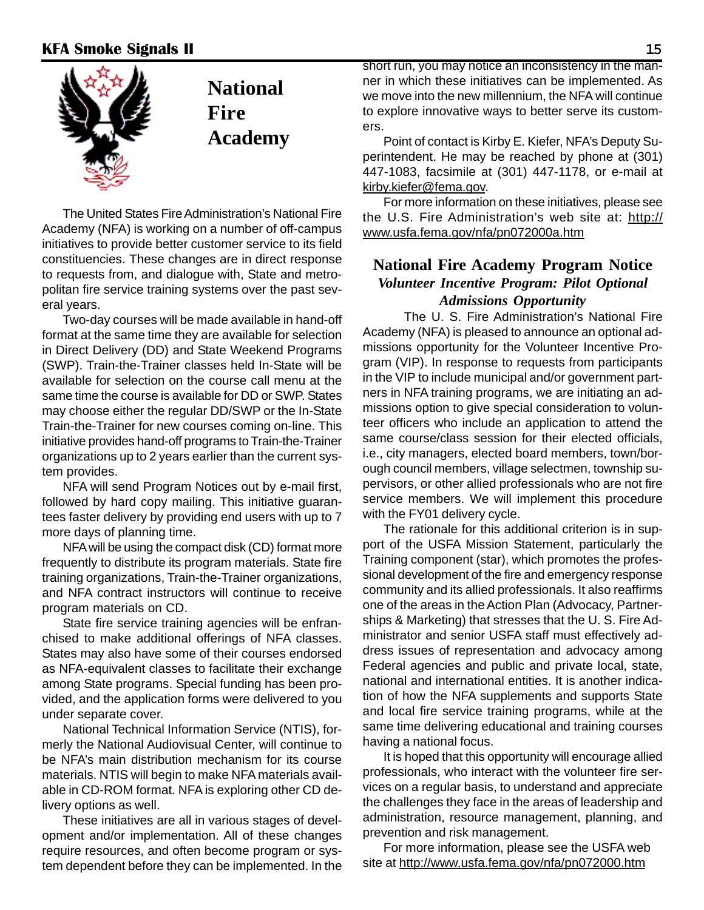

The United States Fire Administration's National Fire Academy (NFA) is working on a number of off-campus initiatives to provide better customer service to its field constituencies. These changes are in direct response to requests from, and dialogue with, State and metropolitan fire service training systems over the past several years.

Two-day courses will be made available in hand-off format at the same time they are available for selection in Direct Delivery (DD) and State Weekend Programs (SWP). Train-the-Trainer classes held In-State will be available for selection on the course call menu at the same time the course is available for DD or SWP. States may choose either the regular DD/SWP or the In-State Train-the-Trainer for new courses coming on-line. This initiative provides hand-off programs to Train-the-Trainer organizations up to 2 years earlier than the current system provides.

NFA will send Program Notices out by e-mail first, followed by hard copy mailing. This initiative guarantees faster delivery by providing end users with up to 7 more days of planning time.

NFA will be using the compact disk (CD) format more frequently to distribute its program materials. State fire training organizations, Train-the-Trainer organizations, and NFA contract instructors will continue to receive program materials on CD.

State fire service training agencies will be enfranchised to make additional offerings of NFA classes. States may also have some of their courses endorsed as NFA-equivalent classes to facilitate their exchange among State programs. Special funding has been provided, and the application forms were delivered to you under separate cover.

National Technical Information Service (NTIS), formerly the National Audiovisual Center, will continue to be NFA's main distribution mechanism for its course materials. NTIS will begin to make NFA materials available in CD-ROM format. NFA is exploring other CD delivery options as well.

These initiatives are all in various stages of development and/or implementation. All of these changes require resources, and often become program or system dependent before they can be implemented. In the

short run, you may notice an inconsistency in the manner in which these initiatives can be implemented. As we move into the new millennium, the NFA will continue to explore innovative ways to better serve its customers.

Point of contact is Kirby E. Kiefer, NFA's Deputy Superintendent. He may be reached by phone at (301) 447-1083, facsimile at (301) 447-1178, or e-mail at kirby.kiefer@fema.gov.

For more information on these initiatives, please see the U.S. Fire Administration's web site at: http:// www.usfa.fema.gov/nfa/pn072000a.htm

#### **National Fire Academy Program Notice** *Volunteer Incentive Program: Pilot Optional Admissions Opportunity*

The U. S. Fire Administration's National Fire Academy (NFA) is pleased to announce an optional admissions opportunity for the Volunteer Incentive Program (VIP). In response to requests from participants in the VIP to include municipal and/or government partners in NFA training programs, we are initiating an admissions option to give special consideration to volunteer officers who include an application to attend the same course/class session for their elected officials. i.e., city managers, elected board members, town/borough council members, village selectmen, township supervisors, or other allied professionals who are not fire service members. We will implement this procedure with the FY01 delivery cycle.

The rationale for this additional criterion is in support of the USFA Mission Statement, particularly the Training component (star), which promotes the professional development of the fire and emergency response community and its allied professionals. It also reaffirms one of the areas in the Action Plan (Advocacy, Partnerships & Marketing) that stresses that the U. S. Fire Administrator and senior USFA staff must effectively address issues of representation and advocacy among Federal agencies and public and private local, state, national and international entities. It is another indication of how the NFA supplements and supports State and local fire service training programs, while at the same time delivering educational and training courses having a national focus.

It is hoped that this opportunity will encourage allied professionals, who interact with the volunteer fire services on a regular basis, to understand and appreciate the challenges they face in the areas of leadership and administration, resource management, planning, and prevention and risk management.

For more information, please see the USFA web site at http://www.usfa.fema.gov/nfa/pn072000.htm